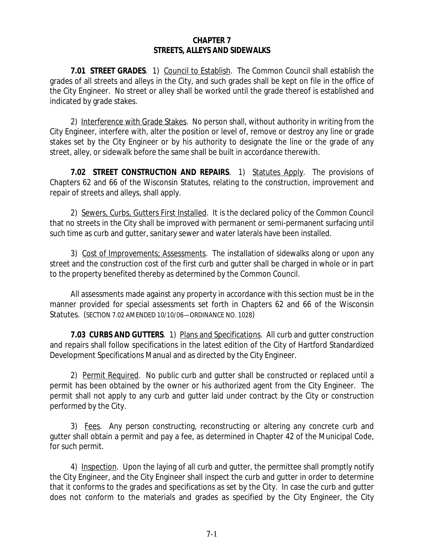## **CHAPTER 7 STREETS, ALLEYS AND SIDEWALKS**

**7.01 STREET GRADES**. 1) Council to Establish. The Common Council shall establish the grades of all streets and alleys in the City, and such grades shall be kept on file in the office of the City Engineer. No street or alley shall be worked until the grade thereof is established and indicated by grade stakes.

2) Interference with Grade Stakes. No person shall, without authority in writing from the City Engineer, interfere with, alter the position or level of, remove or destroy any line or grade stakes set by the City Engineer or by his authority to designate the line or the grade of any street, alley, or sidewalk before the same shall be built in accordance therewith.

**7.02 STREET CONSTRUCTION AND REPAIRS**. 1) Statutes Apply. The provisions of Chapters 62 and 66 of the Wisconsin Statutes, relating to the construction, improvement and repair of streets and alleys, shall apply.

2) Sewers, Curbs, Gutters First Installed. It is the declared policy of the Common Council that no streets in the City shall be improved with permanent or semi-permanent surfacing until such time as curb and gutter, sanitary sewer and water laterals have been installed.

3) Cost of Improvements; Assessments. The installation of sidewalks along or upon any street and the construction cost of the first curb and gutter shall be charged in whole or in part to the property benefited thereby as determined by the Common Council.

All assessments made against any property in accordance with this section must be in the manner provided for special assessments set forth in Chapters 62 and 66 of the Wisconsin Statutes. (SECTION 7.02 AMENDED 10/10/06—ORDINANCE NO. 1028)

**7.03 CURBS AND GUTTERS**. 1) Plans and Specifications. All curb and gutter construction and repairs shall follow specifications in the latest edition of the City of Hartford Standardized Development Specifications Manual and as directed by the City Engineer.

2) Permit Required. No public curb and gutter shall be constructed or replaced until a permit has been obtained by the owner or his authorized agent from the City Engineer. The permit shall not apply to any curb and gutter laid under contract by the City or construction performed by the City.

3) Fees. Any person constructing, reconstructing or altering any concrete curb and gutter shall obtain a permit and pay a fee, as determined in Chapter 42 of the Municipal Code, for such permit.

4) Inspection. Upon the laying of all curb and gutter, the permittee shall promptly notify the City Engineer, and the City Engineer shall inspect the curb and gutter in order to determine that it conforms to the grades and specifications as set by the City. In case the curb and gutter does not conform to the materials and grades as specified by the City Engineer, the City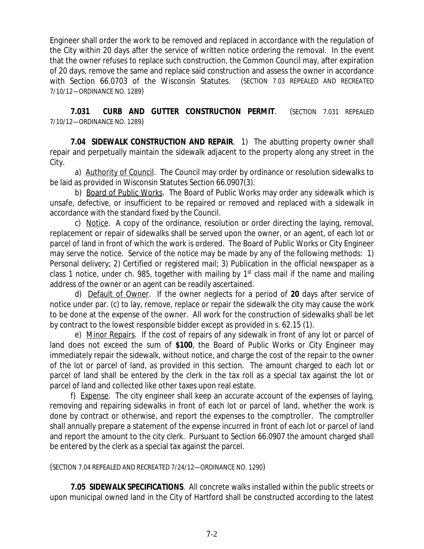Engineer shall order the work to be removed and replaced in accordance with the regulation of the City within 20 days after the service of written notice ordering the removal. In the event that the owner refuses to replace such construction, the Common Council may, after expiration of 20 days, remove the same and replace said construction and assess the owner in accordance with Section 66.0703 of the Wisconsin Statutes. (SECTION 7.03 REPEALED AND RECREATED 7/10/12—ORDINANCE NO. 1289)

**7.031 CURB AND GUTTER CONSTRUCTION PERMIT**. (SECTION 7.031 REPEALED 7/10/12—ORDINANCE NO. 1289)

**7.04 SIDEWALK CONSTRUCTION AND REPAIR**. 1) The abutting property owner shall repair and perpetually maintain the sidewalk adjacent to the property along any street in the City.

a) Authority of Council. The Council may order by ordinance or resolution sidewalks to be laid as provided in Wisconsin Statutes Section 66.0907(3).

b) Board of Public Works. The Board of Public Works may order any sidewalk which is unsafe, defective, or insufficient to be repaired or removed and replaced with a sidewalk in accordance with the standard fixed by the Council.

c) Notice. A copy of the ordinance, resolution or order directing the laying, removal, replacement or repair of sidewalks shall be served upon the owner, or an agent, of each lot or parcel of land in front of which the work is ordered. The Board of Public Works or City Engineer may serve the notice. Service of the notice may be made by any of the following methods: 1) Personal delivery; 2) Certified or registered mail; 3) Publication in the official newspaper as a class 1 notice, under ch. 985, together with mailing by 1<sup>st</sup> class mail if the name and mailing address of the owner or an agent can be readily ascertained.

d) Default of Owner. If the owner neglects for a period of **20** days after service of notice under par. (c) to lay, remove, replace or repair the sidewalk the city may cause the work to be done at the expense of the owner. All work for the construction of sidewalks shall be let by contract to the lowest responsible bidder except as provided in s. 62.15 (1).

e) Minor Repairs. If the cost of repairs of any sidewalk in front of any lot or parcel of land does not exceed the sum of **\$100**, the Board of Public Works or City Engineer may immediately repair the sidewalk, without notice, and charge the cost of the repair to the owner of the lot or parcel of land, as provided in this section. The amount charged to each lot or parcel of land shall be entered by the clerk in the tax roll as a special tax against the lot or parcel of land and collected like other taxes upon real estate.

f) Expense. The city engineer shall keep an accurate account of the expenses of laying, removing and repairing sidewalks in front of each lot or parcel of land, whether the work is done by contract or otherwise, and report the expenses to the comptroller. The comptroller shall annually prepare a statement of the expense incurred in front of each lot or parcel of land and report the amount to the city clerk. Pursuant to Section 66.0907 the amount charged shall be entered by the clerk as a special tax against the parcel.

(SECTION 7.04 REPEALED AND RECREATED 7/24/12—ORDINANCE NO. 1290)

**7.05 SIDEWALK SPECIFICATIONS**. All concrete walks installed within the public streets or upon municipal owned land in the City of Hartford shall be constructed according to the latest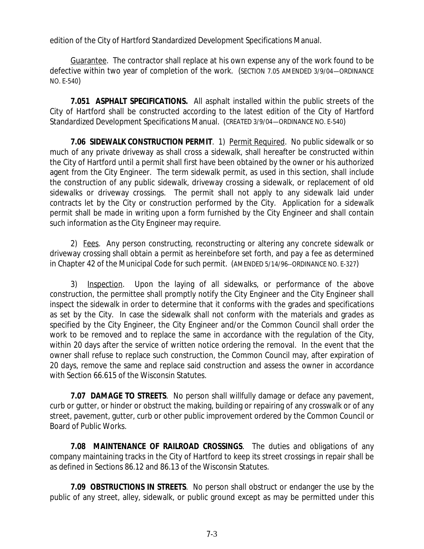edition of the City of Hartford Standardized Development Specifications Manual.

 Guarantee. The contractor shall replace at his own expense any of the work found to be defective within two year of completion of the work. (SECTION 7.05 AMENDED 3/9/04—ORDINANCE NO. E-540)

**7.051 ASPHALT SPECIFICATIONS.** All asphalt installed within the public streets of the City of Hartford shall be constructed according to the latest edition of the City of Hartford Standardized Development Specifications Manual. (CREATED 3/9/04—ORDINANCE NO. E-540)

**7.06 SIDEWALK CONSTRUCTION PERMIT**. 1) Permit Required. No public sidewalk or so much of any private driveway as shall cross a sidewalk, shall hereafter be constructed within the City of Hartford until a permit shall first have been obtained by the owner or his authorized agent from the City Engineer. The term sidewalk permit, as used in this section, shall include the construction of any public sidewalk, driveway crossing a sidewalk, or replacement of old sidewalks or driveway crossings. The permit shall not apply to any sidewalk laid under contracts let by the City or construction performed by the City. Application for a sidewalk permit shall be made in writing upon a form furnished by the City Engineer and shall contain such information as the City Engineer may require.

2) Fees. Any person constructing, reconstructing or altering any concrete sidewalk or driveway crossing shall obtain a permit as hereinbefore set forth, and pay a fee as determined in Chapter 42 of the Municipal Code for such permit. (AMENDED 5/14/96--ORDINANCE NO. E-327)

3) Inspection. Upon the laying of all sidewalks, or performance of the above construction, the permittee shall promptly notify the City Engineer and the City Engineer shall inspect the sidewalk in order to determine that it conforms with the grades and specifications as set by the City. In case the sidewalk shall not conform with the materials and grades as specified by the City Engineer, the City Engineer and/or the Common Council shall order the work to be removed and to replace the same in accordance with the regulation of the City, within 20 days after the service of written notice ordering the removal. In the event that the owner shall refuse to replace such construction, the Common Council may, after expiration of 20 days, remove the same and replace said construction and assess the owner in accordance with Section 66.615 of the Wisconsin Statutes.

**7.07 DAMAGE TO STREETS**. No person shall willfully damage or deface any pavement, curb or gutter, or hinder or obstruct the making, building or repairing of any crosswalk or of any street, pavement, gutter, curb or other public improvement ordered by the Common Council or Board of Public Works.

**7.08 MAINTENANCE OF RAILROAD CROSSINGS**. The duties and obligations of any company maintaining tracks in the City of Hartford to keep its street crossings in repair shall be as defined in Sections 86.12 and 86.13 of the Wisconsin Statutes.

**7.09 OBSTRUCTIONS IN STREETS**. No person shall obstruct or endanger the use by the public of any street, alley, sidewalk, or public ground except as may be permitted under this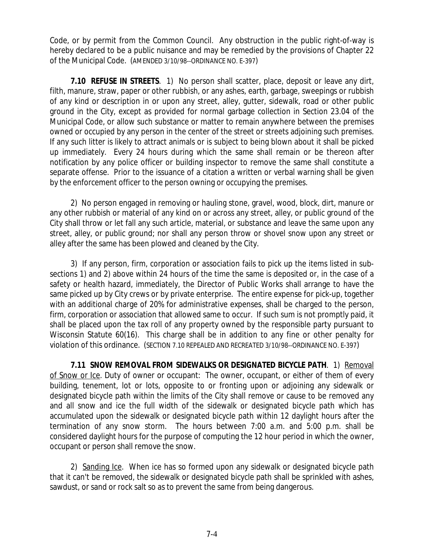Code, or by permit from the Common Council. Any obstruction in the public right-of-way is hereby declared to be a public nuisance and may be remedied by the provisions of Chapter 22 of the Municipal Code. (AMENDED 3/10/98--ORDINANCE NO. E-397)

**7.10 REFUSE IN STREETS**. 1) No person shall scatter, place, deposit or leave any dirt, filth, manure, straw, paper or other rubbish, or any ashes, earth, garbage, sweepings or rubbish of any kind or description in or upon any street, alley, gutter, sidewalk, road or other public ground in the City, except as provided for normal garbage collection in Section 23.04 of the Municipal Code, or allow such substance or matter to remain anywhere between the premises owned or occupied by any person in the center of the street or streets adjoining such premises. If any such litter is likely to attract animals or is subject to being blown about it shall be picked up immediately. Every 24 hours during which the same shall remain or be thereon after notification by any police officer or building inspector to remove the same shall constitute a separate offense. Prior to the issuance of a citation a written or verbal warning shall be given by the enforcement officer to the person owning or occupying the premises.

2) No person engaged in removing or hauling stone, gravel, wood, block, dirt, manure or any other rubbish or material of any kind on or across any street, alley, or public ground of the City shall throw or let fall any such article, material, or substance and leave the same upon any street, alley, or public ground; nor shall any person throw or shovel snow upon any street or alley after the same has been plowed and cleaned by the City.

3) If any person, firm, corporation or association fails to pick up the items listed in subsections 1) and 2) above within 24 hours of the time the same is deposited or, in the case of a safety or health hazard, immediately, the Director of Public Works shall arrange to have the same picked up by City crews or by private enterprise. The entire expense for pick-up, together with an additional charge of 20% for administrative expenses, shall be charged to the person, firm, corporation or association that allowed same to occur. If such sum is not promptly paid, it shall be placed upon the tax roll of any property owned by the responsible party pursuant to Wisconsin Statute 60(16). This charge shall be in addition to any fine or other penalty for violation of this ordinance. (SECTION 7.10 REPEALED AND RECREATED 3/10/98--ORDINANCE NO. E-397)

**7.11 SNOW REMOVAL FROM SIDEWALKS OR DESIGNATED BICYCLE PATH**. 1) Removal of Snow or Ice. Duty of owner or occupant: The owner, occupant, or either of them of every building, tenement, lot or lots, opposite to or fronting upon or adjoining any sidewalk or designated bicycle path within the limits of the City shall remove or cause to be removed any and all snow and ice the full width of the sidewalk or designated bicycle path which has accumulated upon the sidewalk or designated bicycle path within 12 daylight hours after the termination of any snow storm. The hours between 7:00 a.m. and 5:00 p.m. shall be considered daylight hours for the purpose of computing the 12 hour period in which the owner, occupant or person shall remove the snow.

2) Sanding Ice. When ice has so formed upon any sidewalk or designated bicycle path that it can't be removed, the sidewalk or designated bicycle path shall be sprinkled with ashes, sawdust, or sand or rock salt so as to prevent the same from being dangerous.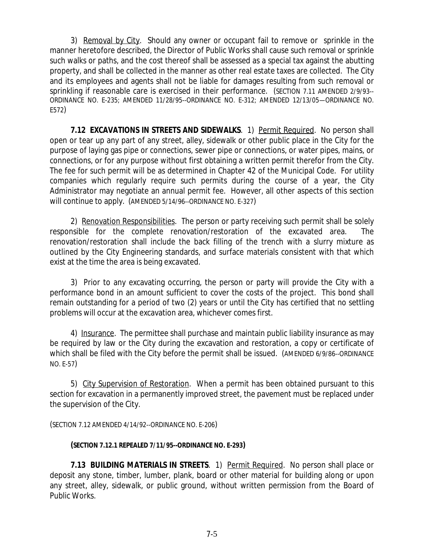3) Removal by City. Should any owner or occupant fail to remove or sprinkle in the manner heretofore described, the Director of Public Works shall cause such removal or sprinkle such walks or paths, and the cost thereof shall be assessed as a special tax against the abutting property, and shall be collected in the manner as other real estate taxes are collected. The City and its employees and agents shall not be liable for damages resulting from such removal or sprinkling if reasonable care is exercised in their performance. (SECTION 7.11 AMENDED 2/9/93-- ORDINANCE NO. E-235; AMENDED 11/28/95--ORDINANCE NO. E-312; AMENDED 12/13/05—ORDINANCE NO. E572)

**7.12 EXCAVATIONS IN STREETS AND SIDEWALKS**. 1) Permit Required. No person shall open or tear up any part of any street, alley, sidewalk or other public place in the City for the purpose of laying gas pipe or connections, sewer pipe or connections, or water pipes, mains, or connections, or for any purpose without first obtaining a written permit therefor from the City. The fee for such permit will be as determined in Chapter 42 of the Municipal Code. For utility companies which regularly require such permits during the course of a year, the City Administrator may negotiate an annual permit fee. However, all other aspects of this section will continue to apply. (AMENDED 5/14/96--ORDINANCE NO. E-327)

2) Renovation Responsibilities. The person or party receiving such permit shall be solely responsible for the complete renovation/restoration of the excavated area. The renovation/restoration shall include the back filling of the trench with a slurry mixture as outlined by the City Engineering standards, and surface materials consistent with that which exist at the time the area is being excavated.

3) Prior to any excavating occurring, the person or party will provide the City with a performance bond in an amount sufficient to cover the costs of the project. This bond shall remain outstanding for a period of two (2) years or until the City has certified that no settling problems will occur at the excavation area, whichever comes first.

4) Insurance. The permittee shall purchase and maintain public liability insurance as may be required by law or the City during the excavation and restoration, a copy or certificate of which shall be filed with the City before the permit shall be issued. (AMENDED 6/9/86--ORDINANCE NO. E-57)

5) City Supervision of Restoration. When a permit has been obtained pursuant to this section for excavation in a permanently improved street, the pavement must be replaced under the supervision of the City.

(SECTION 7.12 AMENDED 4/14/92--ORDINANCE NO. E-206)

## **(SECTION 7.12.1 REPEALED 7/11/95--ORDINANCE NO. E-293)**

**7.13 BUILDING MATERIALS IN STREETS**. 1) Permit Required. No person shall place or deposit any stone, timber, lumber, plank, board or other material for building along or upon any street, alley, sidewalk, or public ground, without written permission from the Board of Public Works.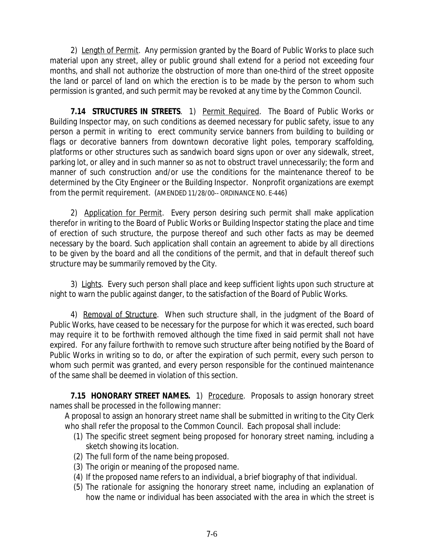2) Length of Permit. Any permission granted by the Board of Public Works to place such material upon any street, alley or public ground shall extend for a period not exceeding four months, and shall not authorize the obstruction of more than one-third of the street opposite the land or parcel of land on which the erection is to be made by the person to whom such permission is granted, and such permit may be revoked at any time by the Common Council.

**7.14 STRUCTURES IN STREETS**. 1) Permit Required. The Board of Public Works or Building Inspector may, on such conditions as deemed necessary for public safety, issue to any person a permit in writing to erect community service banners from building to building or flags or decorative banners from downtown decorative light poles, temporary scaffolding, platforms or other structures such as sandwich board signs upon or over any sidewalk, street, parking lot, or alley and in such manner so as not to obstruct travel unnecessarily; the form and manner of such construction and/or use the conditions for the maintenance thereof to be determined by the City Engineer or the Building Inspector. Nonprofit organizations are exempt from the permit requirement. (AMENDED 11/28/00-- ORDINANCE NO. E-446)

2) Application for Permit. Every person desiring such permit shall make application therefor in writing to the Board of Public Works or Building Inspector stating the place and time of erection of such structure, the purpose thereof and such other facts as may be deemed necessary by the board. Such application shall contain an agreement to abide by all directions to be given by the board and all the conditions of the permit, and that in default thereof such structure may be summarily removed by the City.

3) Lights. Every such person shall place and keep sufficient lights upon such structure at night to warn the public against danger, to the satisfaction of the Board of Public Works.

4) Removal of Structure. When such structure shall, in the judgment of the Board of Public Works, have ceased to be necessary for the purpose for which it was erected, such board may require it to be forthwith removed although the time fixed in said permit shall not have expired. For any failure forthwith to remove such structure after being notified by the Board of Public Works in writing so to do, or after the expiration of such permit, every such person to whom such permit was granted, and every person responsible for the continued maintenance of the same shall be deemed in violation of this section.

**7.15 HONORARY STREET NAMES.** 1) Procedure. Proposals to assign honorary street names shall be processed in the following manner:

A proposal to assign an honorary street name shall be submitted in writing to the City Clerk who shall refer the proposal to the Common Council. Each proposal shall include:

- (1) The specific street segment being proposed for honorary street naming, including a sketch showing its location.
- (2) The full form of the name being proposed.
- (3) The origin or meaning of the proposed name.
- (4) If the proposed name refers to an individual, a brief biography of that individual.
- (5) The rationale for assigning the honorary street name, including an explanation of how the name or individual has been associated with the area in which the street is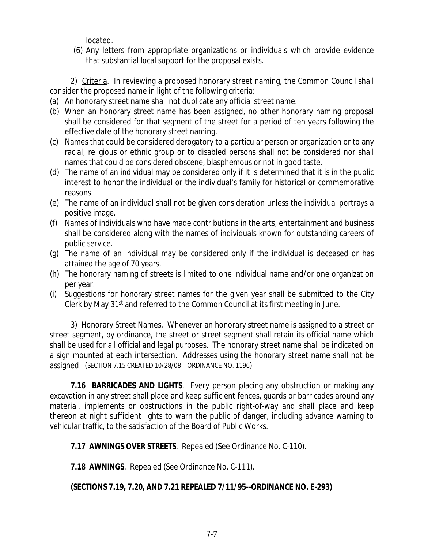located.

(6) Any letters from appropriate organizations or individuals which provide evidence that substantial local support for the proposal exists.

2) Criteria. In reviewing a proposed honorary street naming, the Common Council shall consider the proposed name in light of the following criteria:

- (a) An honorary street name shall not duplicate any official street name.
- (b) When an honorary street name has been assigned, no other honorary naming proposal shall be considered for that segment of the street for a period of ten years following the effective date of the honorary street naming.
- (c) Names that could be considered derogatory to a particular person or organization or to any racial, religious or ethnic group or to disabled persons shall not be considered nor shall names that could be considered obscene, blasphemous or not in good taste.
- (d) The name of an individual may be considered only if it is determined that it is in the public interest to honor the individual or the individual's family for historical or commemorative reasons.
- (e) The name of an individual shall not be given consideration unless the individual portrays a positive image.
- (f) Names of individuals who have made contributions in the arts, entertainment and business shall be considered along with the names of individuals known for outstanding careers of public service.
- (g) The name of an individual may be considered only if the individual is deceased or has attained the age of 70 years.
- (h) The honorary naming of streets is limited to one individual name and/or one organization per year.
- (i) Suggestions for honorary street names for the given year shall be submitted to the City Clerk by May 31<sup>st</sup> and referred to the Common Council at its first meeting in June.

3) Honorary Street Names. Whenever an honorary street name is assigned to a street or street segment, by ordinance, the street or street segment shall retain its official name which shall be used for all official and legal purposes. The honorary street name shall be indicated on a sign mounted at each intersection. Addresses using the honorary street name shall not be assigned. (SECTION 7.15 CREATED 10/28/08—ORDINANCE NO. 1196)

**7.16 BARRICADES AND LIGHTS**. Every person placing any obstruction or making any excavation in any street shall place and keep sufficient fences, guards or barricades around any material, implements or obstructions in the public right-of-way and shall place and keep thereon at night sufficient lights to warn the public of danger, including advance warning to vehicular traffic, to the satisfaction of the Board of Public Works.

**7.17 AWNINGS OVER STREETS**. Repealed (See Ordinance No. C-110).

**7.18 AWNINGS**. Repealed (See Ordinance No. C-111).

## **(SECTIONS 7.19, 7.20, AND 7.21 REPEALED 7/11/95--ORDINANCE NO. E-293)**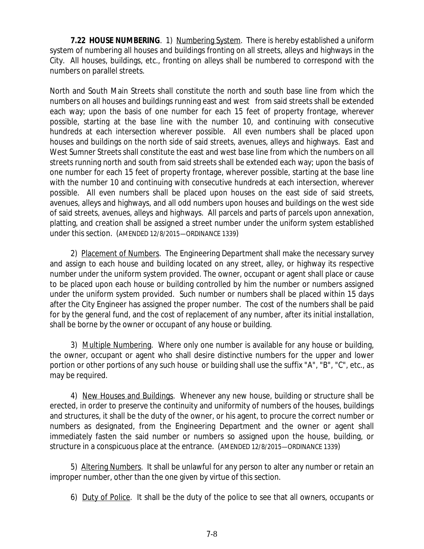**7.22 HOUSE NUMBERING**. 1) Numbering System. There is hereby established a uniform system of numbering all houses and buildings fronting on all streets, alleys and highways in the City. All houses, buildings, etc., fronting on alleys shall be numbered to correspond with the numbers on parallel streets.

North and South Main Streets shall constitute the north and south base line from which the numbers on all houses and buildings running east and west from said streets shall be extended each way; upon the basis of one number for each 15 feet of property frontage, wherever possible, starting at the base line with the number 10, and continuing with consecutive hundreds at each intersection wherever possible. All even numbers shall be placed upon houses and buildings on the north side of said streets, avenues, alleys and highways. East and West Sumner Streets shall constitute the east and west base line from which the numbers on all streets running north and south from said streets shall be extended each way; upon the basis of one number for each 15 feet of property frontage, wherever possible, starting at the base line with the number 10 and continuing with consecutive hundreds at each intersection, wherever possible. All even numbers shall be placed upon houses on the east side of said streets, avenues, alleys and highways, and all odd numbers upon houses and buildings on the west side of said streets, avenues, alleys and highways. All parcels and parts of parcels upon annexation, platting, and creation shall be assigned a street number under the uniform system established under this section. (AMENDED 12/8/2015—ORDINANCE 1339)

2) Placement of Numbers. The Engineering Department shall make the necessary survey and assign to each house and building located on any street, alley, or highway its respective number under the uniform system provided. The owner, occupant or agent shall place or cause to be placed upon each house or building controlled by him the number or numbers assigned under the uniform system provided. Such number or numbers shall be placed within 15 days after the City Engineer has assigned the proper number. The cost of the numbers shall be paid for by the general fund, and the cost of replacement of any number, after its initial installation, shall be borne by the owner or occupant of any house or building.

3) Multiple Numbering. Where only one number is available for any house or building, the owner, occupant or agent who shall desire distinctive numbers for the upper and lower portion or other portions of any such house or building shall use the suffix "A", "B", "C", etc., as may be required.

4) New Houses and Buildings. Whenever any new house, building or structure shall be erected, in order to preserve the continuity and uniformity of numbers of the houses, buildings and structures, it shall be the duty of the owner, or his agent, to procure the correct number or numbers as designated, from the Engineering Department and the owner or agent shall immediately fasten the said number or numbers so assigned upon the house, building, or structure in a conspicuous place at the entrance. (AMENDED 12/8/2015—ORDINANCE 1339)

5) Altering Numbers. It shall be unlawful for any person to alter any number or retain an improper number, other than the one given by virtue of this section.

6) Duty of Police. It shall be the duty of the police to see that all owners, occupants or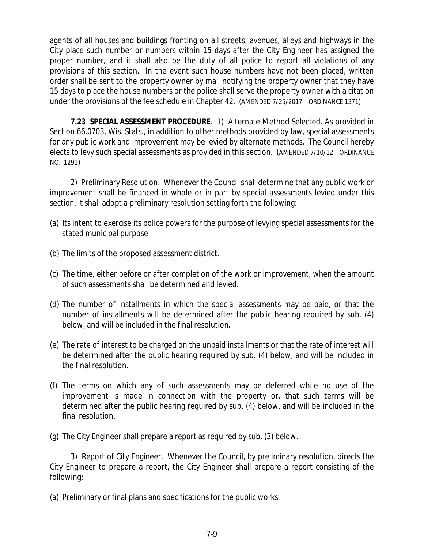agents of all houses and buildings fronting on all streets, avenues, alleys and highways in the City place such number or numbers within 15 days after the City Engineer has assigned the proper number, and it shall also be the duty of all police to report all violations of any provisions of this section. In the event such house numbers have not been placed, written order shall be sent to the property owner by mail notifying the property owner that they have 15 days to place the house numbers or the police shall serve the property owner with a citation under the provisions of the fee schedule in Chapter 42. (AMENDED 7/25/2017—ORDINANCE 1371)

**7.23 SPECIAL ASSESSMENT PROCEDURE**. 1) Alternate Method Selected. As provided in Section 66.0703, Wis. Stats., in addition to other methods provided by law, special assessments for any public work and improvement may be levied by alternate methods. The Council hereby elects to levy such special assessments as provided in this section. (AMENDED 7/10/12—ORDINANCE NO. 1291)

2) Preliminary Resolution. Whenever the Council shall determine that any public work or improvement shall be financed in whole or in part by special assessments levied under this section, it shall adopt a preliminary resolution setting forth the following:

- (a) Its intent to exercise its police powers for the purpose of levying special assessments for the stated municipal purpose.
- (b) The limits of the proposed assessment district.
- (c) The time, either before or after completion of the work or improvement, when the amount of such assessments shall be determined and levied.
- (d) The number of installments in which the special assessments may be paid, or that the number of installments will be determined after the public hearing required by sub. (4) below, and will be included in the final resolution.
- (e) The rate of interest to be charged on the unpaid installments or that the rate of interest will be determined after the public hearing required by sub. (4) below, and will be included in the final resolution.
- (f) The terms on which any of such assessments may be deferred while no use of the improvement is made in connection with the property or, that such terms will be determined after the public hearing required by sub. (4) below, and will be included in the final resolution.

(g) The City Engineer shall prepare a report as required by sub. (3) below.

3) Report of City Engineer. Whenever the Council, by preliminary resolution, directs the City Engineer to prepare a report, the City Engineer shall prepare a report consisting of the following:

(a) Preliminary or final plans and specifications for the public works.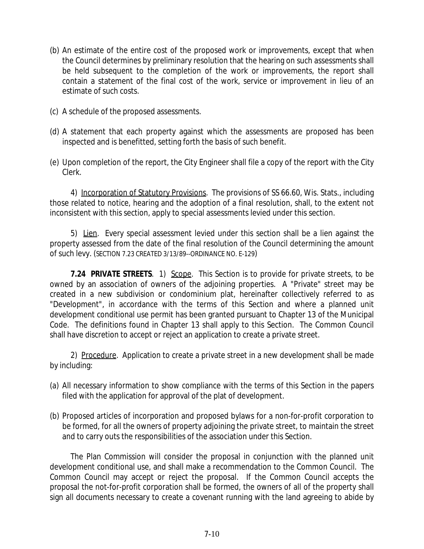- (b) An estimate of the entire cost of the proposed work or improvements, except that when the Council determines by preliminary resolution that the hearing on such assessments shall be held subsequent to the completion of the work or improvements, the report shall contain a statement of the final cost of the work, service or improvement in lieu of an estimate of such costs.
- (c) A schedule of the proposed assessments.
- (d) A statement that each property against which the assessments are proposed has been inspected and is benefitted, setting forth the basis of such benefit.
- (e) Upon completion of the report, the City Engineer shall file a copy of the report with the City Clerk.

4) Incorporation of Statutory Provisions. The provisions of SS 66.60, Wis. Stats., including those related to notice, hearing and the adoption of a final resolution, shall, to the extent not inconsistent with this section, apply to special assessments levied under this section.

5) Lien. Every special assessment levied under this section shall be a lien against the property assessed from the date of the final resolution of the Council determining the amount of such levy. (SECTION 7.23 CREATED 3/13/89--ORDINANCE NO. E-129)

**7.24 PRIVATE STREETS**. 1) Scope. This Section is to provide for private streets, to be owned by an association of owners of the adjoining properties. A "Private" street may be created in a new subdivision or condominium plat, hereinafter collectively referred to as "Development", in accordance with the terms of this Section and where a planned unit development conditional use permit has been granted pursuant to Chapter 13 of the Municipal Code. The definitions found in Chapter 13 shall apply to this Section. The Common Council shall have discretion to accept or reject an application to create a private street.

2) Procedure. Application to create a private street in a new development shall be made by including:

- (a) All necessary information to show compliance with the terms of this Section in the papers filed with the application for approval of the plat of development.
- (b) Proposed articles of incorporation and proposed bylaws for a non-for-profit corporation to be formed, for all the owners of property adjoining the private street, to maintain the street and to carry outs the responsibilities of the association under this Section.

The Plan Commission will consider the proposal in conjunction with the planned unit development conditional use, and shall make a recommendation to the Common Council. The Common Council may accept or reject the proposal. If the Common Council accepts the proposal the not-for-profit corporation shall be formed, the owners of all of the property shall sign all documents necessary to create a covenant running with the land agreeing to abide by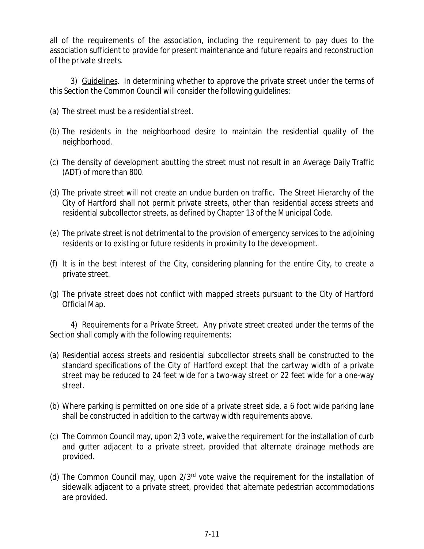all of the requirements of the association, including the requirement to pay dues to the association sufficient to provide for present maintenance and future repairs and reconstruction of the private streets.

3) Guidelines. In determining whether to approve the private street under the terms of this Section the Common Council will consider the following guidelines:

- (a) The street must be a residential street.
- (b) The residents in the neighborhood desire to maintain the residential quality of the neighborhood.
- (c) The density of development abutting the street must not result in an Average Daily Traffic (ADT) of more than 800.
- (d) The private street will not create an undue burden on traffic. The Street Hierarchy of the City of Hartford shall not permit private streets, other than residential access streets and residential subcollector streets, as defined by Chapter 13 of the Municipal Code.
- (e) The private street is not detrimental to the provision of emergency services to the adjoining residents or to existing or future residents in proximity to the development.
- (f) It is in the best interest of the City, considering planning for the entire City, to create a private street.
- (g) The private street does not conflict with mapped streets pursuant to the City of Hartford Official Map.

4) Requirements for a Private Street. Any private street created under the terms of the Section shall comply with the following requirements:

- (a) Residential access streets and residential subcollector streets shall be constructed to the standard specifications of the City of Hartford except that the cartway width of a private street may be reduced to 24 feet wide for a two-way street or 22 feet wide for a one-way street.
- (b) Where parking is permitted on one side of a private street side, a 6 foot wide parking lane shall be constructed in addition to the cartway width requirements above.
- (c) The Common Council may, upon 2/3 vote, waive the requirement for the installation of curb and gutter adjacent to a private street, provided that alternate drainage methods are provided.
- (d) The Common Council may, upon 2/3rd vote waive the requirement for the installation of sidewalk adjacent to a private street, provided that alternate pedestrian accommodations are provided.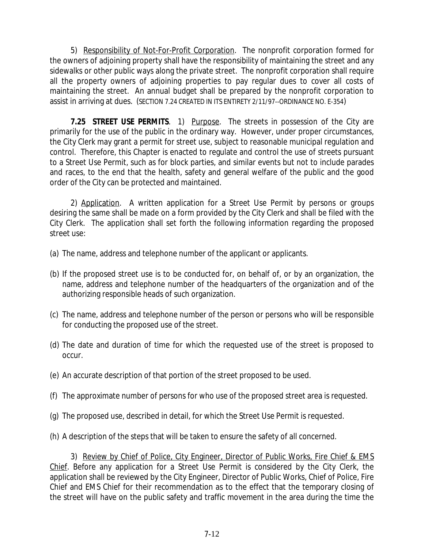5) Responsibility of Not-For-Profit Corporation. The nonprofit corporation formed for the owners of adjoining property shall have the responsibility of maintaining the street and any sidewalks or other public ways along the private street. The nonprofit corporation shall require all the property owners of adjoining properties to pay regular dues to cover all costs of maintaining the street. An annual budget shall be prepared by the nonprofit corporation to assist in arriving at dues. (SECTION 7.24 CREATED IN ITS ENTIRETY 2/11/97--ORDINANCE NO. E-354)

**7.25 STREET USE PERMITS**. 1) Purpose. The streets in possession of the City are primarily for the use of the public in the ordinary way. However, under proper circumstances, the City Clerk may grant a permit for street use, subject to reasonable municipal regulation and control. Therefore, this Chapter is enacted to regulate and control the use of streets pursuant to a Street Use Permit, such as for block parties, and similar events but not to include parades and races, to the end that the health, safety and general welfare of the public and the good order of the City can be protected and maintained.

2) Application. A written application for a Street Use Permit by persons or groups desiring the same shall be made on a form provided by the City Clerk and shall be filed with the City Clerk. The application shall set forth the following information regarding the proposed street use:

- (a) The name, address and telephone number of the applicant or applicants.
- (b) If the proposed street use is to be conducted for, on behalf of, or by an organization, the name, address and telephone number of the headquarters of the organization and of the authorizing responsible heads of such organization.
- (c) The name, address and telephone number of the person or persons who will be responsible for conducting the proposed use of the street.
- (d) The date and duration of time for which the requested use of the street is proposed to occur.
- (e) An accurate description of that portion of the street proposed to be used.
- (f) The approximate number of persons for who use of the proposed street area is requested.
- (g) The proposed use, described in detail, for which the Street Use Permit is requested.
- (h) A description of the steps that will be taken to ensure the safety of all concerned.

3) Review by Chief of Police, City Engineer, Director of Public Works, Fire Chief & EMS Chief. Before any application for a Street Use Permit is considered by the City Clerk, the application shall be reviewed by the City Engineer, Director of Public Works, Chief of Police, Fire Chief and EMS Chief for their recommendation as to the effect that the temporary closing of the street will have on the public safety and traffic movement in the area during the time the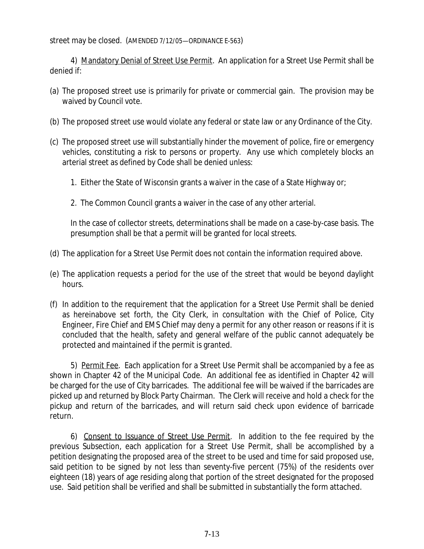street may be closed. (AMENDED 7/12/05—ORDINANCE E-563)

4) Mandatory Denial of Street Use Permit. An application for a Street Use Permit shall be denied if:

- (a) The proposed street use is primarily for private or commercial gain. The provision may be waived by Council vote.
- (b) The proposed street use would violate any federal or state law or any Ordinance of the City.
- (c) The proposed street use will substantially hinder the movement of police, fire or emergency vehicles, constituting a risk to persons or property. Any use which completely blocks an arterial street as defined by Code shall be denied unless:
	- 1. Either the State of Wisconsin grants a waiver in the case of a State Highway or;
	- 2. The Common Council grants a waiver in the case of any other arterial.

In the case of collector streets, determinations shall be made on a case-by-case basis. The presumption shall be that a permit will be granted for local streets.

- (d) The application for a Street Use Permit does not contain the information required above.
- (e) The application requests a period for the use of the street that would be beyond daylight hours.
- (f) In addition to the requirement that the application for a Street Use Permit shall be denied as hereinabove set forth, the City Clerk, in consultation with the Chief of Police, City Engineer, Fire Chief and EMS Chief may deny a permit for any other reason or reasons if it is concluded that the health, safety and general welfare of the public cannot adequately be protected and maintained if the permit is granted.

5) Permit Fee. Each application for a Street Use Permit shall be accompanied by a fee as shown in Chapter 42 of the Municipal Code. An additional fee as identified in Chapter 42 will be charged for the use of City barricades. The additional fee will be waived if the barricades are picked up and returned by Block Party Chairman. The Clerk will receive and hold a check for the pickup and return of the barricades, and will return said check upon evidence of barricade return.

6) Consent to Issuance of Street Use Permit. In addition to the fee required by the previous Subsection, each application for a Street Use Permit, shall be accomplished by a petition designating the proposed area of the street to be used and time for said proposed use, said petition to be signed by not less than seventy-five percent (75%) of the residents over eighteen (18) years of age residing along that portion of the street designated for the proposed use. Said petition shall be verified and shall be submitted in substantially the form attached.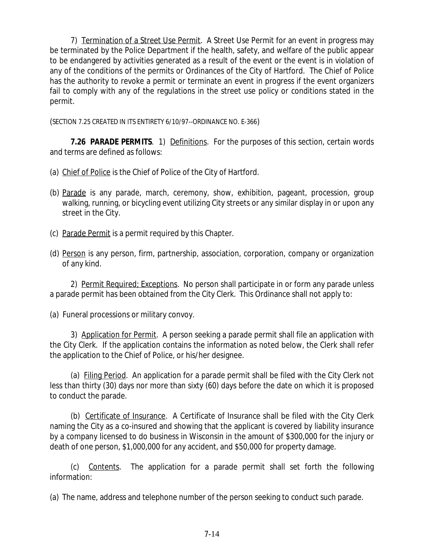7) Termination of a Street Use Permit. A Street Use Permit for an event in progress may be terminated by the Police Department if the health, safety, and welfare of the public appear to be endangered by activities generated as a result of the event or the event is in violation of any of the conditions of the permits or Ordinances of the City of Hartford. The Chief of Police has the authority to revoke a permit or terminate an event in progress if the event organizers fail to comply with any of the regulations in the street use policy or conditions stated in the permit.

(SECTION 7.25 CREATED IN ITS ENTIRETY 6/10/97--ORDINANCE NO. E-366)

**7.26 PARADE PERMITS**. 1) Definitions. For the purposes of this section, certain words and terms are defined as follows:

- (a) Chief of Police is the Chief of Police of the City of Hartford.
- (b) Parade is any parade, march, ceremony, show, exhibition, pageant, procession, group walking, running, or bicycling event utilizing City streets or any similar display in or upon any street in the City.
- (c) Parade Permit is a permit required by this Chapter.
- (d) Person is any person, firm, partnership, association, corporation, company or organization of any kind.

2) Permit Required; Exceptions. No person shall participate in or form any parade unless a parade permit has been obtained from the City Clerk. This Ordinance shall not apply to:

(a) Funeral processions or military convoy.

3) Application for Permit. A person seeking a parade permit shall file an application with the City Clerk. If the application contains the information as noted below, the Clerk shall refer the application to the Chief of Police, or his/her designee.

(a) Filing Period. An application for a parade permit shall be filed with the City Clerk not less than thirty (30) days nor more than sixty (60) days before the date on which it is proposed to conduct the parade.

(b) Certificate of Insurance. A Certificate of Insurance shall be filed with the City Clerk naming the City as a co-insured and showing that the applicant is covered by liability insurance by a company licensed to do business in Wisconsin in the amount of \$300,000 for the injury or death of one person, \$1,000,000 for any accident, and \$50,000 for property damage.

(c) Contents. The application for a parade permit shall set forth the following information:

(a) The name, address and telephone number of the person seeking to conduct such parade.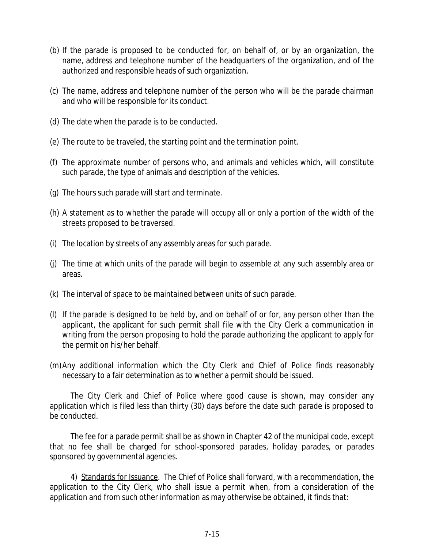- (b) If the parade is proposed to be conducted for, on behalf of, or by an organization, the name, address and telephone number of the headquarters of the organization, and of the authorized and responsible heads of such organization.
- (c) The name, address and telephone number of the person who will be the parade chairman and who will be responsible for its conduct.
- (d) The date when the parade is to be conducted.
- (e) The route to be traveled, the starting point and the termination point.
- (f) The approximate number of persons who, and animals and vehicles which, will constitute such parade, the type of animals and description of the vehicles.
- (g) The hours such parade will start and terminate.
- (h) A statement as to whether the parade will occupy all or only a portion of the width of the streets proposed to be traversed.
- (i) The location by streets of any assembly areas for such parade.
- (j) The time at which units of the parade will begin to assemble at any such assembly area or areas.
- (k) The interval of space to be maintained between units of such parade.
- (l) If the parade is designed to be held by, and on behalf of or for, any person other than the applicant, the applicant for such permit shall file with the City Clerk a communication in writing from the person proposing to hold the parade authorizing the applicant to apply for the permit on his/her behalf.
- (m)Any additional information which the City Clerk and Chief of Police finds reasonably necessary to a fair determination as to whether a permit should be issued.

The City Clerk and Chief of Police where good cause is shown, may consider any application which is filed less than thirty (30) days before the date such parade is proposed to be conducted.

The fee for a parade permit shall be as shown in Chapter 42 of the municipal code, except that no fee shall be charged for school-sponsored parades, holiday parades, or parades sponsored by governmental agencies.

4) Standards for Issuance. The Chief of Police shall forward, with a recommendation, the application to the City Clerk, who shall issue a permit when, from a consideration of the application and from such other information as may otherwise be obtained, it finds that: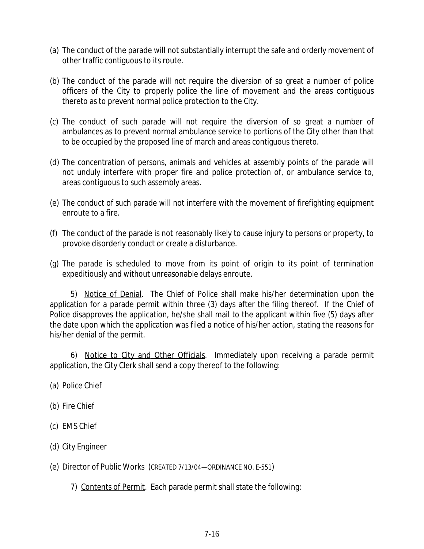- (a) The conduct of the parade will not substantially interrupt the safe and orderly movement of other traffic contiguous to its route.
- (b) The conduct of the parade will not require the diversion of so great a number of police officers of the City to properly police the line of movement and the areas contiguous thereto as to prevent normal police protection to the City.
- (c) The conduct of such parade will not require the diversion of so great a number of ambulances as to prevent normal ambulance service to portions of the City other than that to be occupied by the proposed line of march and areas contiguous thereto.
- (d) The concentration of persons, animals and vehicles at assembly points of the parade will not unduly interfere with proper fire and police protection of, or ambulance service to, areas contiguous to such assembly areas.
- (e) The conduct of such parade will not interfere with the movement of firefighting equipment enroute to a fire.
- (f) The conduct of the parade is not reasonably likely to cause injury to persons or property, to provoke disorderly conduct or create a disturbance.
- (g) The parade is scheduled to move from its point of origin to its point of termination expeditiously and without unreasonable delays enroute.

5) Notice of Denial. The Chief of Police shall make his/her determination upon the application for a parade permit within three (3) days after the filing thereof. If the Chief of Police disapproves the application, he/she shall mail to the applicant within five (5) days after the date upon which the application was filed a notice of his/her action, stating the reasons for his/her denial of the permit.

6) Notice to City and Other Officials. Immediately upon receiving a parade permit application, the City Clerk shall send a copy thereof to the following:

- (a) Police Chief
- (b) Fire Chief
- (c) EMS Chief
- (d) City Engineer
- (e) Director of Public Works (CREATED 7/13/04—ORDINANCE NO. E-551)
	- 7) Contents of Permit. Each parade permit shall state the following: